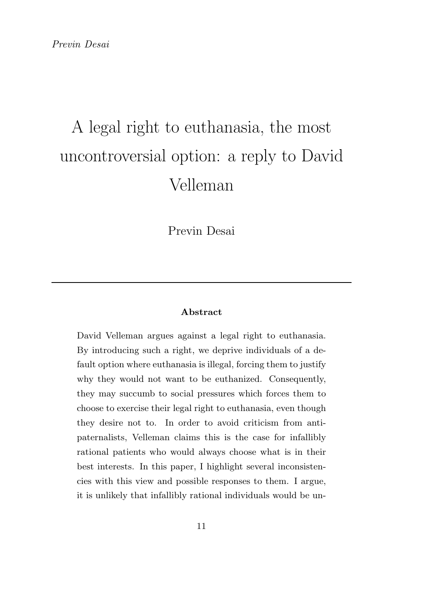Previn Desai

#### Abstract

David Velleman argues against a legal right to euthanasia. By introducing such a right, we deprive individuals of a default option where euthanasia is illegal, forcing them to justify why they would not want to be euthanized. Consequently, they may succumb to social pressures which forces them to choose to exercise their legal right to euthanasia, even though they desire not to. In order to avoid criticism from antipaternalists, Velleman claims this is the case for infallibly rational patients who would always choose what is in their best interests. In this paper, I highlight several inconsistencies with this view and possible responses to them. I argue, it is unlikely that infallibly rational individuals would be un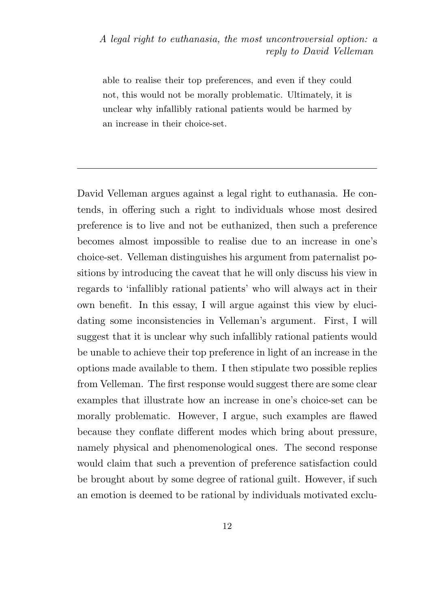able to realise their top preferences, and even if they could not, this would not be morally problematic. Ultimately, it is unclear why infallibly rational patients would be harmed by an increase in their choice-set.

David Velleman argues against a legal right to euthanasia. He contends, in offering such a right to individuals whose most desired preference is to live and not be euthanized, then such a preference becomes almost impossible to realise due to an increase in one's choice-set. Velleman distinguishes his argument from paternalist positions by introducing the caveat that he will only discuss his view in regards to 'infallibly rational patients' who will always act in their own benefit. In this essay, I will argue against this view by elucidating some inconsistencies in Velleman's argument. First, I will suggest that it is unclear why such infallibly rational patients would be unable to achieve their top preference in light of an increase in the options made available to them. I then stipulate two possible replies from Velleman. The first response would suggest there are some clear examples that illustrate how an increase in one's choice-set can be morally problematic. However, I argue, such examples are flawed because they conflate different modes which bring about pressure, namely physical and phenomenological ones. The second response would claim that such a prevention of preference satisfaction could be brought about by some degree of rational guilt. However, if such an emotion is deemed to be rational by individuals motivated exclu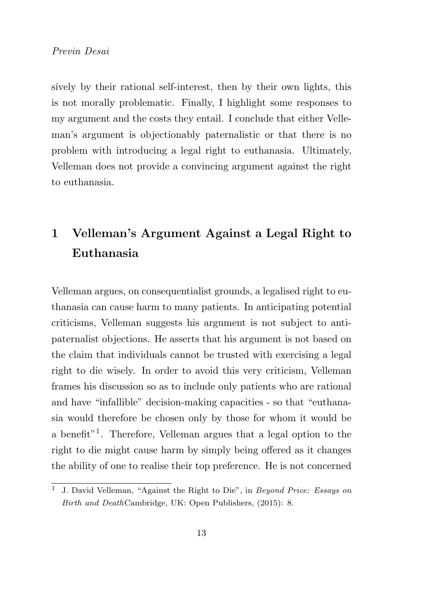sively by their rational self-interest, then by their own lights, this is not morally problematic. Finally, I highlight some responses to my argument and the costs they entail. I conclude that either Velleman's argument is objectionably paternalistic or that there is no problem with introducing a legal right to euthanasia. Ultimately, Velleman does not provide a convincing argument against the right to euthanasia.

# 1 Velleman's Argument Against a Legal Right to Euthanasia

Velleman argues, on consequentialist grounds, a legalised right to euthanasia can cause harm to many patients. In anticipating potential criticisms, Velleman suggests his argument is not subject to antipaternalist objections. He asserts that his argument is not based on the claim that individuals cannot be trusted with exercising a legal right to die wisely. In order to avoid this very criticism, Velleman frames his discussion so as to include only patients who are rational and have "infallible" decision-making capacities - so that "euthanasia would therefore be chosen only by those for whom it would be a benefit"<sup>1</sup> . Therefore, Velleman argues that a legal option to the right to die might cause harm by simply being offered as it changes the ability of one to realise their top preference. He is not concerned

<sup>1</sup> J. David Velleman, "Against the Right to Die", in Beyond Price: Essays on Birth and DeathCambridge, UK: Open Publishers, (2015): 8.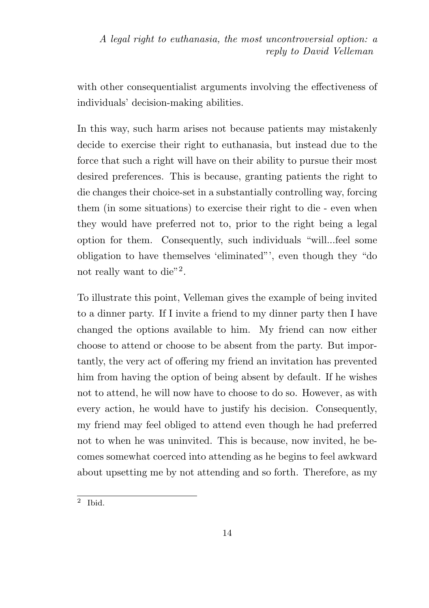with other consequentialist arguments involving the effectiveness of individuals' decision-making abilities.

In this way, such harm arises not because patients may mistakenly decide to exercise their right to euthanasia, but instead due to the force that such a right will have on their ability to pursue their most desired preferences. This is because, granting patients the right to die changes their choice-set in a substantially controlling way, forcing them (in some situations) to exercise their right to die - even when they would have preferred not to, prior to the right being a legal option for them. Consequently, such individuals "will...feel some obligation to have themselves 'eliminated"', even though they "do not really want to die"<sup>2</sup>.

To illustrate this point, Velleman gives the example of being invited to a dinner party. If I invite a friend to my dinner party then I have changed the options available to him. My friend can now either choose to attend or choose to be absent from the party. But importantly, the very act of offering my friend an invitation has prevented him from having the option of being absent by default. If he wishes not to attend, he will now have to choose to do so. However, as with every action, he would have to justify his decision. Consequently, my friend may feel obliged to attend even though he had preferred not to when he was uninvited. This is because, now invited, he becomes somewhat coerced into attending as he begins to feel awkward about upsetting me by not attending and so forth. Therefore, as my

<sup>2</sup> Ibid.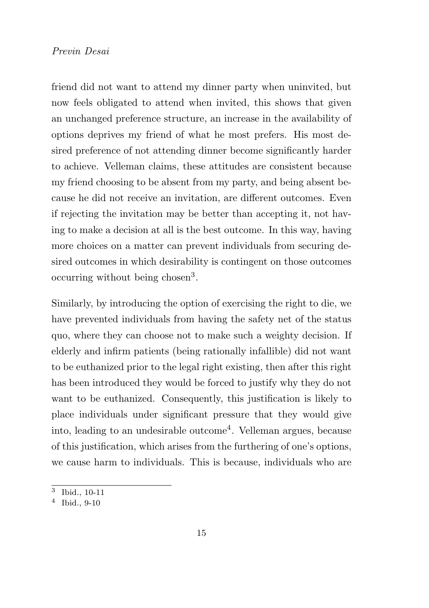friend did not want to attend my dinner party when uninvited, but now feels obligated to attend when invited, this shows that given an unchanged preference structure, an increase in the availability of options deprives my friend of what he most prefers. His most desired preference of not attending dinner become significantly harder to achieve. Velleman claims, these attitudes are consistent because my friend choosing to be absent from my party, and being absent because he did not receive an invitation, are different outcomes. Even if rejecting the invitation may be better than accepting it, not having to make a decision at all is the best outcome. In this way, having more choices on a matter can prevent individuals from securing desired outcomes in which desirability is contingent on those outcomes occurring without being chosen<sup>3</sup>.

Similarly, by introducing the option of exercising the right to die, we have prevented individuals from having the safety net of the status quo, where they can choose not to make such a weighty decision. If elderly and infirm patients (being rationally infallible) did not want to be euthanized prior to the legal right existing, then after this right has been introduced they would be forced to justify why they do not want to be euthanized. Consequently, this justification is likely to place individuals under significant pressure that they would give into, leading to an undesirable outcome<sup>4</sup>. Velleman argues, because of this justification, which arises from the furthering of one's options, we cause harm to individuals. This is because, individuals who are

<sup>3</sup> Ibid., 10-11

<sup>4</sup> Ibid., 9-10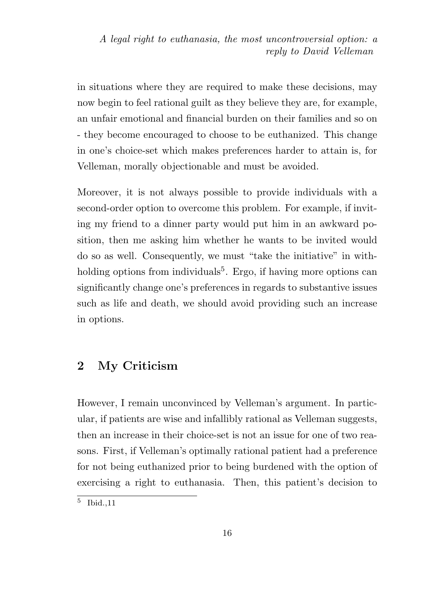in situations where they are required to make these decisions, may now begin to feel rational guilt as they believe they are, for example, an unfair emotional and financial burden on their families and so on - they become encouraged to choose to be euthanized. This change in one's choice-set which makes preferences harder to attain is, for Velleman, morally objectionable and must be avoided.

Moreover, it is not always possible to provide individuals with a second-order option to overcome this problem. For example, if inviting my friend to a dinner party would put him in an awkward position, then me asking him whether he wants to be invited would do so as well. Consequently, we must "take the initiative" in withholding options from individuals<sup>5</sup>. Ergo, if having more options can significantly change one's preferences in regards to substantive issues such as life and death, we should avoid providing such an increase in options.

## 2 My Criticism

However, I remain unconvinced by Velleman's argument. In particular, if patients are wise and infallibly rational as Velleman suggests, then an increase in their choice-set is not an issue for one of two reasons. First, if Velleman's optimally rational patient had a preference for not being euthanized prior to being burdened with the option of exercising a right to euthanasia. Then, this patient's decision to

<sup>5</sup> Ibid.,11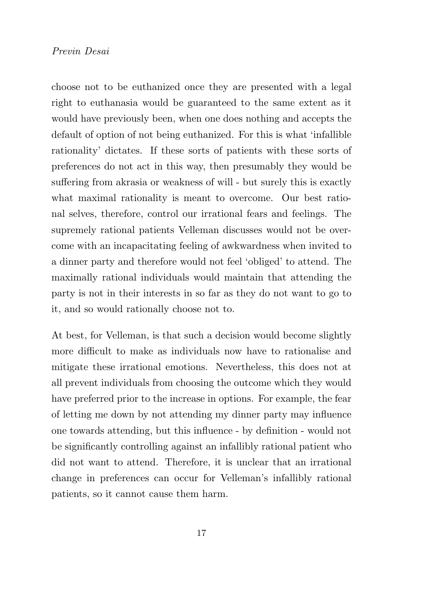choose not to be euthanized once they are presented with a legal right to euthanasia would be guaranteed to the same extent as it would have previously been, when one does nothing and accepts the default of option of not being euthanized. For this is what 'infallible rationality' dictates. If these sorts of patients with these sorts of preferences do not act in this way, then presumably they would be suffering from akrasia or weakness of will - but surely this is exactly what maximal rationality is meant to overcome. Our best rational selves, therefore, control our irrational fears and feelings. The supremely rational patients Velleman discusses would not be overcome with an incapacitating feeling of awkwardness when invited to a dinner party and therefore would not feel 'obliged' to attend. The maximally rational individuals would maintain that attending the party is not in their interests in so far as they do not want to go to it, and so would rationally choose not to.

At best, for Velleman, is that such a decision would become slightly more difficult to make as individuals now have to rationalise and mitigate these irrational emotions. Nevertheless, this does not at all prevent individuals from choosing the outcome which they would have preferred prior to the increase in options. For example, the fear of letting me down by not attending my dinner party may influence one towards attending, but this influence - by definition - would not be significantly controlling against an infallibly rational patient who did not want to attend. Therefore, it is unclear that an irrational change in preferences can occur for Velleman's infallibly rational patients, so it cannot cause them harm.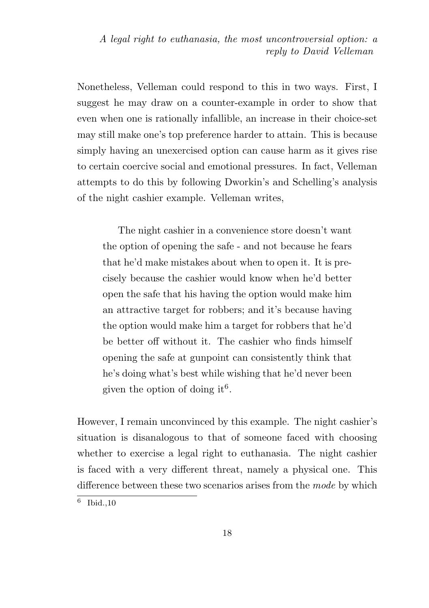Nonetheless, Velleman could respond to this in two ways. First, I suggest he may draw on a counter-example in order to show that even when one is rationally infallible, an increase in their choice-set may still make one's top preference harder to attain. This is because simply having an unexercised option can cause harm as it gives rise to certain coercive social and emotional pressures. In fact, Velleman attempts to do this by following Dworkin's and Schelling's analysis of the night cashier example. Velleman writes,

The night cashier in a convenience store doesn't want the option of opening the safe - and not because he fears that he'd make mistakes about when to open it. It is precisely because the cashier would know when he'd better open the safe that his having the option would make him an attractive target for robbers; and it's because having the option would make him a target for robbers that he'd be better off without it. The cashier who finds himself opening the safe at gunpoint can consistently think that he's doing what's best while wishing that he'd never been given the option of doing it<sup>6</sup>.

However, I remain unconvinced by this example. The night cashier's situation is disanalogous to that of someone faced with choosing whether to exercise a legal right to euthanasia. The night cashier is faced with a very different threat, namely a physical one. This difference between these two scenarios arises from the *mode* by which

<sup>6</sup> Ibid.,10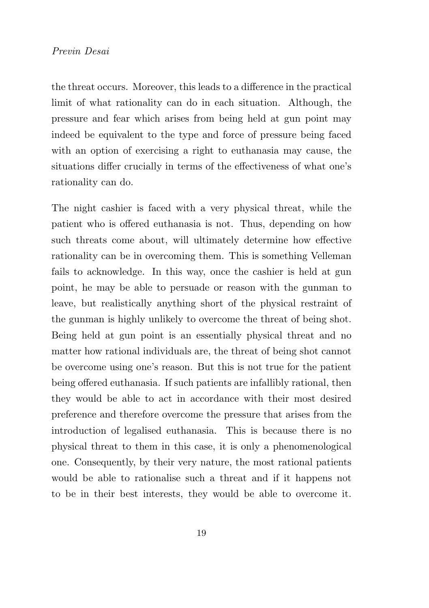the threat occurs. Moreover, this leads to a difference in the practical limit of what rationality can do in each situation. Although, the pressure and fear which arises from being held at gun point may indeed be equivalent to the type and force of pressure being faced with an option of exercising a right to euthanasia may cause, the situations differ crucially in terms of the effectiveness of what one's rationality can do.

The night cashier is faced with a very physical threat, while the patient who is offered euthanasia is not. Thus, depending on how such threats come about, will ultimately determine how effective rationality can be in overcoming them. This is something Velleman fails to acknowledge. In this way, once the cashier is held at gun point, he may be able to persuade or reason with the gunman to leave, but realistically anything short of the physical restraint of the gunman is highly unlikely to overcome the threat of being shot. Being held at gun point is an essentially physical threat and no matter how rational individuals are, the threat of being shot cannot be overcome using one's reason. But this is not true for the patient being offered euthanasia. If such patients are infallibly rational, then they would be able to act in accordance with their most desired preference and therefore overcome the pressure that arises from the introduction of legalised euthanasia. This is because there is no physical threat to them in this case, it is only a phenomenological one. Consequently, by their very nature, the most rational patients would be able to rationalise such a threat and if it happens not to be in their best interests, they would be able to overcome it.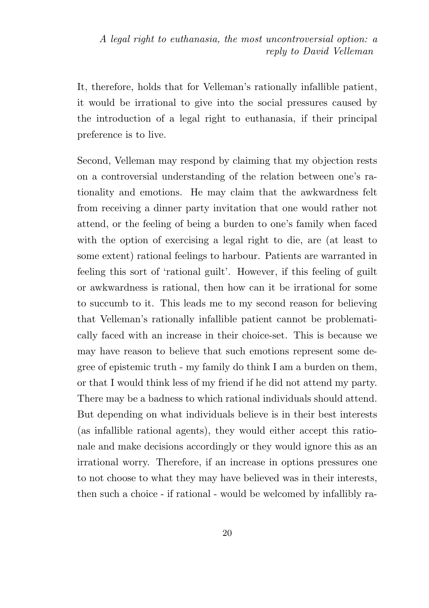It, therefore, holds that for Velleman's rationally infallible patient, it would be irrational to give into the social pressures caused by the introduction of a legal right to euthanasia, if their principal preference is to live.

Second, Velleman may respond by claiming that my objection rests on a controversial understanding of the relation between one's rationality and emotions. He may claim that the awkwardness felt from receiving a dinner party invitation that one would rather not attend, or the feeling of being a burden to one's family when faced with the option of exercising a legal right to die, are (at least to some extent) rational feelings to harbour. Patients are warranted in feeling this sort of 'rational guilt'. However, if this feeling of guilt or awkwardness is rational, then how can it be irrational for some to succumb to it. This leads me to my second reason for believing that Velleman's rationally infallible patient cannot be problematically faced with an increase in their choice-set. This is because we may have reason to believe that such emotions represent some degree of epistemic truth - my family do think I am a burden on them, or that I would think less of my friend if he did not attend my party. There may be a badness to which rational individuals should attend. But depending on what individuals believe is in their best interests (as infallible rational agents), they would either accept this rationale and make decisions accordingly or they would ignore this as an irrational worry. Therefore, if an increase in options pressures one to not choose to what they may have believed was in their interests, then such a choice - if rational - would be welcomed by infallibly ra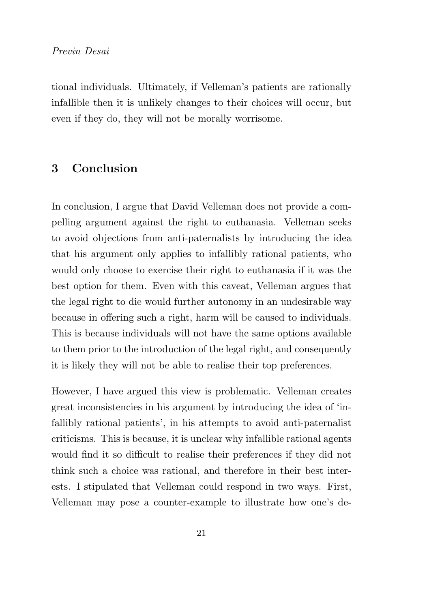tional individuals. Ultimately, if Velleman's patients are rationally infallible then it is unlikely changes to their choices will occur, but even if they do, they will not be morally worrisome.

## 3 Conclusion

In conclusion, I argue that David Velleman does not provide a compelling argument against the right to euthanasia. Velleman seeks to avoid objections from anti-paternalists by introducing the idea that his argument only applies to infallibly rational patients, who would only choose to exercise their right to euthanasia if it was the best option for them. Even with this caveat, Velleman argues that the legal right to die would further autonomy in an undesirable way because in offering such a right, harm will be caused to individuals. This is because individuals will not have the same options available to them prior to the introduction of the legal right, and consequently it is likely they will not be able to realise their top preferences.

However, I have argued this view is problematic. Velleman creates great inconsistencies in his argument by introducing the idea of 'infallibly rational patients', in his attempts to avoid anti-paternalist criticisms. This is because, it is unclear why infallible rational agents would find it so difficult to realise their preferences if they did not think such a choice was rational, and therefore in their best interests. I stipulated that Velleman could respond in two ways. First, Velleman may pose a counter-example to illustrate how one's de-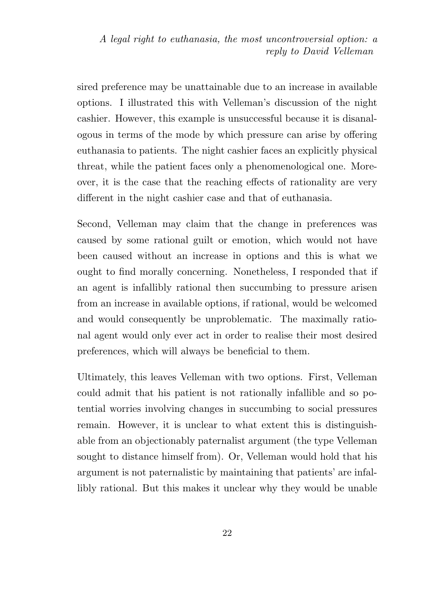sired preference may be unattainable due to an increase in available options. I illustrated this with Velleman's discussion of the night cashier. However, this example is unsuccessful because it is disanalogous in terms of the mode by which pressure can arise by offering euthanasia to patients. The night cashier faces an explicitly physical threat, while the patient faces only a phenomenological one. Moreover, it is the case that the reaching effects of rationality are very different in the night cashier case and that of euthanasia.

Second, Velleman may claim that the change in preferences was caused by some rational guilt or emotion, which would not have been caused without an increase in options and this is what we ought to find morally concerning. Nonetheless, I responded that if an agent is infallibly rational then succumbing to pressure arisen from an increase in available options, if rational, would be welcomed and would consequently be unproblematic. The maximally rational agent would only ever act in order to realise their most desired preferences, which will always be beneficial to them.

Ultimately, this leaves Velleman with two options. First, Velleman could admit that his patient is not rationally infallible and so potential worries involving changes in succumbing to social pressures remain. However, it is unclear to what extent this is distinguishable from an objectionably paternalist argument (the type Velleman sought to distance himself from). Or, Velleman would hold that his argument is not paternalistic by maintaining that patients' are infallibly rational. But this makes it unclear why they would be unable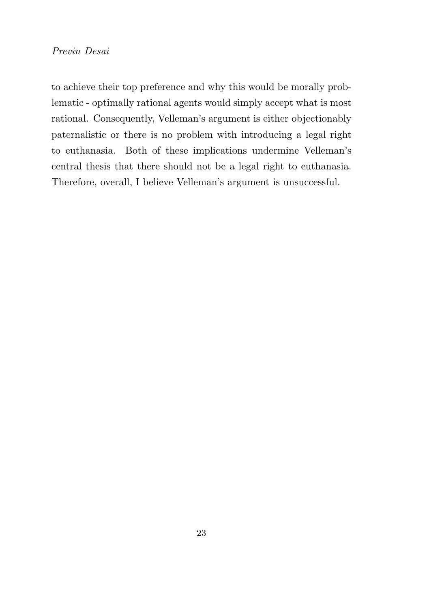to achieve their top preference and why this would be morally problematic - optimally rational agents would simply accept what is most rational. Consequently, Velleman's argument is either objectionably paternalistic or there is no problem with introducing a legal right to euthanasia. Both of these implications undermine Velleman's central thesis that there should not be a legal right to euthanasia. Therefore, overall, I believe Velleman's argument is unsuccessful.